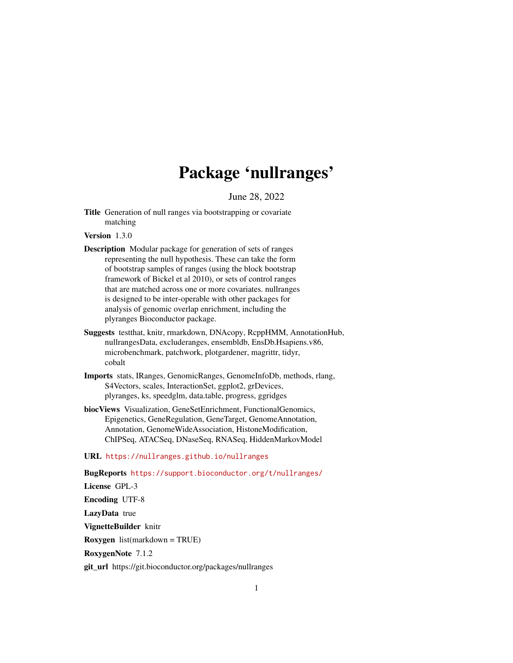# Package 'nullranges'

June 28, 2022

<span id="page-0-0"></span>Title Generation of null ranges via bootstrapping or covariate matching

Version 1.3.0

- Description Modular package for generation of sets of ranges representing the null hypothesis. These can take the form of bootstrap samples of ranges (using the block bootstrap framework of Bickel et al 2010), or sets of control ranges that are matched across one or more covariates. nullranges is designed to be inter-operable with other packages for analysis of genomic overlap enrichment, including the plyranges Bioconductor package.
- Suggests testthat, knitr, rmarkdown, DNAcopy, RcppHMM, AnnotationHub, nullrangesData, excluderanges, ensembldb, EnsDb.Hsapiens.v86, microbenchmark, patchwork, plotgardener, magrittr, tidyr, cobalt
- Imports stats, IRanges, GenomicRanges, GenomeInfoDb, methods, rlang, S4Vectors, scales, InteractionSet, ggplot2, grDevices, plyranges, ks, speedglm, data.table, progress, ggridges
- biocViews Visualization, GeneSetEnrichment, FunctionalGenomics, Epigenetics, GeneRegulation, GeneTarget, GenomeAnnotation, Annotation, GenomeWideAssociation, HistoneModification, ChIPSeq, ATACSeq, DNaseSeq, RNASeq, HiddenMarkovModel

URL <https://nullranges.github.io/nullranges>

BugReports <https://support.bioconductor.org/t/nullranges/> License GPL-3 Encoding UTF-8 LazyData true VignetteBuilder knitr Roxygen list(markdown = TRUE) RoxygenNote 7.1.2

git\_url https://git.bioconductor.org/packages/nullranges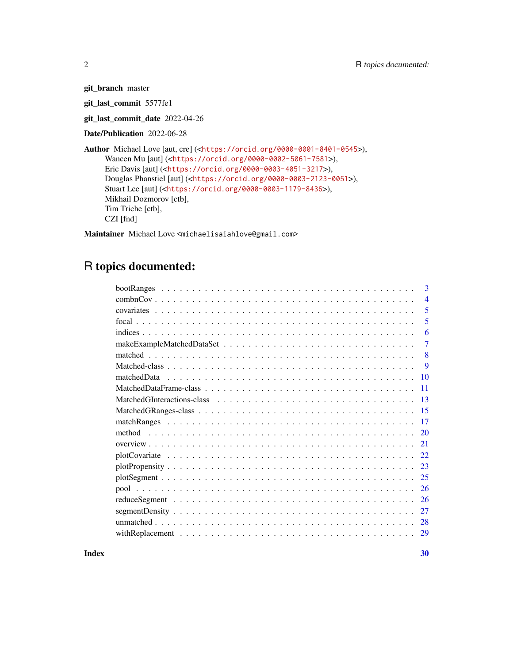git\_branch master

git\_last\_commit 5577fe1

git\_last\_commit\_date 2022-04-26

Date/Publication 2022-06-28

Author Michael Love [aut, cre] (<<https://orcid.org/0000-0001-8401-0545>>), Wancen Mu [aut] (<<https://orcid.org/0000-0002-5061-7581>>), Eric Davis [aut] (<<https://orcid.org/0000-0003-4051-3217>>), Douglas Phanstiel [aut] (<<https://orcid.org/0000-0003-2123-0051>>), Stuart Lee [aut] (<<https://orcid.org/0000-0003-1179-8436>>), Mikhail Dozmorov [ctb], Tim Triche [ctb], CZI [fnd]

Maintainer Michael Love <michaelisaiahlove@gmail.com>

# R topics documented:

| $\mathbf{3}$      |
|-------------------|
| $\overline{4}$    |
| 5                 |
| 5                 |
| 6                 |
| 7                 |
| 8                 |
| 9                 |
| matchedData<br>10 |
| 11                |
| -13               |
| -15               |
| 17                |
| 20                |
| 21                |
| 22.               |
| 23                |
| 25                |
| 26                |
| 26                |
| 27                |
| 28                |
| 29                |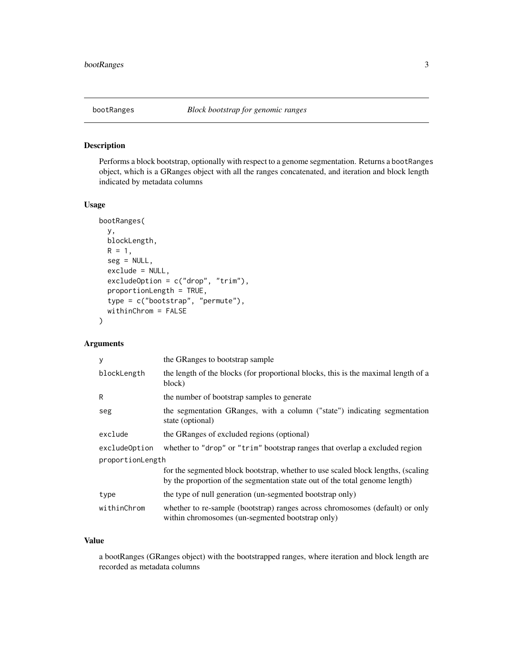<span id="page-2-0"></span>

# Description

Performs a block bootstrap, optionally with respect to a genome segmentation. Returns a bootRanges object, which is a GRanges object with all the ranges concatenated, and iteration and block length indicated by metadata columns

#### Usage

```
bootRanges(
  y,
  blockLength,
 R = 1,
  seg = NULL,
  exclude = NULL,
  excludeOption = c("drop", "trim"),
  proportionLength = TRUE,
  type = c("bootstrap", "permute"),
  withinChrom = FALSE
)
```
# Arguments

| y                | the GRanges to bootstrap sample                                                                                                                                 |  |
|------------------|-----------------------------------------------------------------------------------------------------------------------------------------------------------------|--|
| blockLength      | the length of the blocks (for proportional blocks, this is the maximal length of a<br>block)                                                                    |  |
| R                | the number of bootstrap samples to generate                                                                                                                     |  |
| seg              | the segmentation GRanges, with a column ("state") indicating segmentation<br>state (optional)                                                                   |  |
| exclude          | the GRanges of excluded regions (optional)                                                                                                                      |  |
| excludeOption    | whether to "drop" or "trim" bootstrap ranges that overlap a excluded region                                                                                     |  |
| proportionLength |                                                                                                                                                                 |  |
|                  | for the segmented block bootstrap, whether to use scaled block lengths, (scaling<br>by the proportion of the segmentation state out of the total genome length) |  |
| type             | the type of null generation (un-segmented bootstrap only)                                                                                                       |  |
| withinChrom      | whether to re-sample (bootstrap) ranges across chromosomes (default) or only<br>within chromosomes (un-segmented bootstrap only)                                |  |

#### Value

a bootRanges (GRanges object) with the bootstrapped ranges, where iteration and block length are recorded as metadata columns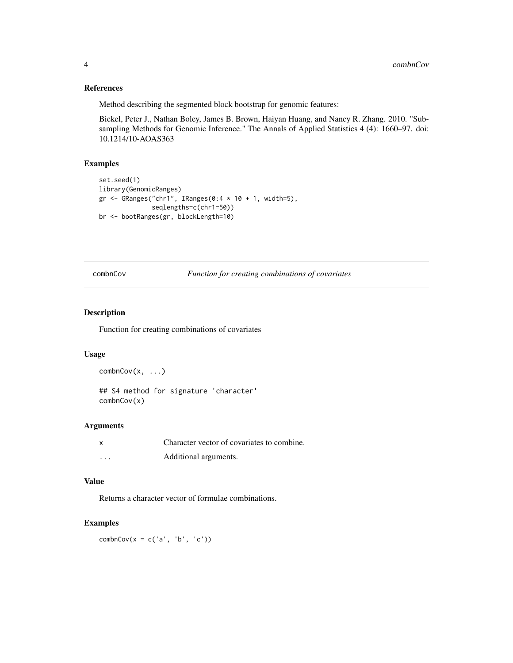# References

Method describing the segmented block bootstrap for genomic features:

Bickel, Peter J., Nathan Boley, James B. Brown, Haiyan Huang, and Nancy R. Zhang. 2010. "Subsampling Methods for Genomic Inference." The Annals of Applied Statistics 4 (4): 1660–97. doi: 10.1214/10-AOAS363

#### Examples

```
set.seed(1)
library(GenomicRanges)
gr <- GRanges("chr1", IRanges(0:4 * 10 + 1, width=5),
              seqlengths=c(chr1=50))
br <- bootRanges(gr, blockLength=10)
```
combnCov *Function for creating combinations of covariates*

# Description

Function for creating combinations of covariates

# Usage

```
combnCov(x, \ldots)
```
## S4 method for signature 'character' combnCov(x)

#### Arguments

| x        | Character vector of covariates to combine. |
|----------|--------------------------------------------|
| $\cdots$ | Additional arguments.                      |

#### Value

Returns a character vector of formulae combinations.

#### Examples

 $combnCov(x = c('a', 'b', 'c'))$ 

<span id="page-3-0"></span>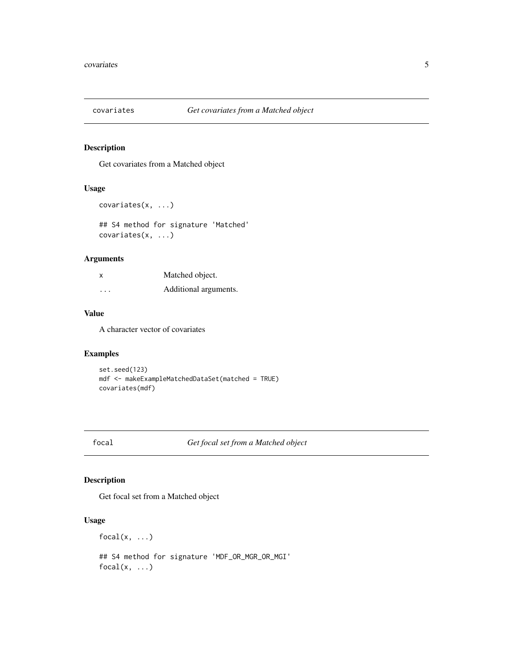<span id="page-4-1"></span><span id="page-4-0"></span>

# Description

Get covariates from a Matched object

# Usage

```
covariates(x, ...)
```
## S4 method for signature 'Matched' covariates(x, ...)

# Arguments

| $\boldsymbol{\mathsf{x}}$ | Matched object.       |
|---------------------------|-----------------------|
| $\cdots$                  | Additional arguments. |

# Value

A character vector of covariates

# Examples

```
set.seed(123)
mdf <- makeExampleMatchedDataSet(matched = TRUE)
covariates(mdf)
```
<span id="page-4-2"></span>focal *Get focal set from a Matched object*

# Description

Get focal set from a Matched object

# Usage

 $focal(x, \ldots)$ 

## S4 method for signature 'MDF\_OR\_MGR\_OR\_MGI'  $focal(x, \ldots)$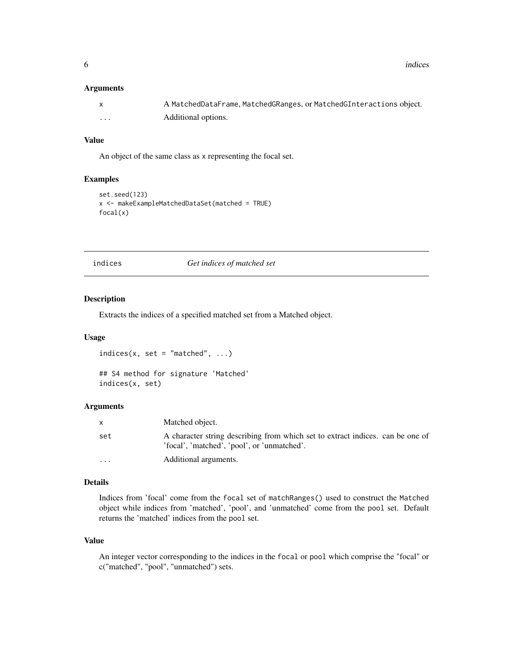<span id="page-5-0"></span>**6** indices **6** indices

#### Arguments

|   | A MatchedDataFrame, MatchedGRanges, or MatchedGInteractions object. |
|---|---------------------------------------------------------------------|
| . | Additional options.                                                 |

# Value

An object of the same class as x representing the focal set.

# Examples

```
set.seed(123)
x <- makeExampleMatchedDataSet(matched = TRUE)
focal(x)
```
<span id="page-5-1"></span>indices *Get indices of matched set*

#### Description

Extracts the indices of a specified matched set from a Matched object.

#### Usage

```
indices(x, set = "matched", \ldots)
```

```
## S4 method for signature 'Matched'
indices(x, set)
```
#### Arguments

|          | Matched object.                                                                                                               |
|----------|-------------------------------------------------------------------------------------------------------------------------------|
| set      | A character string describing from which set to extract indices, can be one of<br>'focal', 'matched', 'pool', or 'unmatched'. |
| $\cdots$ | Additional arguments.                                                                                                         |

#### Details

Indices from 'focal' come from the focal set of matchRanges() used to construct the Matched object while indices from 'matched', 'pool', and 'unmatched' come from the pool set. Default returns the 'matched' indices from the pool set.

#### Value

An integer vector corresponding to the indices in the focal or pool which comprise the "focal" or c("matched", "pool", "unmatched") sets.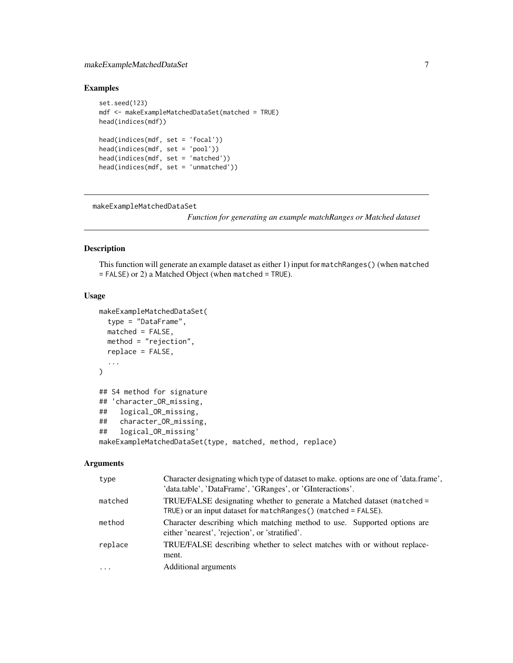# <span id="page-6-0"></span>makeExampleMatchedDataSet 7

# Examples

```
set.seed(123)
mdf <- makeExampleMatchedDataSet(matched = TRUE)
head(indices(mdf))
head(indices(mdf, set = 'focal'))
head(indices(mdf, set = 'pool'))
head(indices(mdf, set = 'matched'))
head(indices(mdf, set = 'unmatched'))
```
makeExampleMatchedDataSet

*Function for generating an example matchRanges or Matched dataset*

# Description

This function will generate an example dataset as either 1) input for matchRanges() (when matched = FALSE) or 2) a Matched Object (when matched = TRUE).

#### Usage

```
makeExampleMatchedDataSet(
  type = "DataFrame",
 matched = FALSE,
 method = "rejection",
 replace = FALSE,
  ...
)
## S4 method for signature
## 'character_OR_missing,
## logical_OR_missing,
## character_OR_missing,
## logical_OR_missing'
makeExampleMatchedDataSet(type, matched, method, replace)
```
#### Arguments

| type       | Character designating which type of dataset to make. options are one of 'data.frame',<br>'data.table', 'DataFrame', 'GRanges', or 'GInteractions'. |
|------------|----------------------------------------------------------------------------------------------------------------------------------------------------|
| matched    | TRUE/FALSE designating whether to generate a Matched dataset (matched =<br>TRUE) or an input dataset for matchRanges() (matched = FALSE).          |
| method     | Character describing which matching method to use. Supported options are<br>either 'nearest', 'rejection', or 'stratified'.                        |
| replace    | TRUE/FALSE describing whether to select matches with or without replace-<br>ment.                                                                  |
| $\ddots$ . | Additional arguments                                                                                                                               |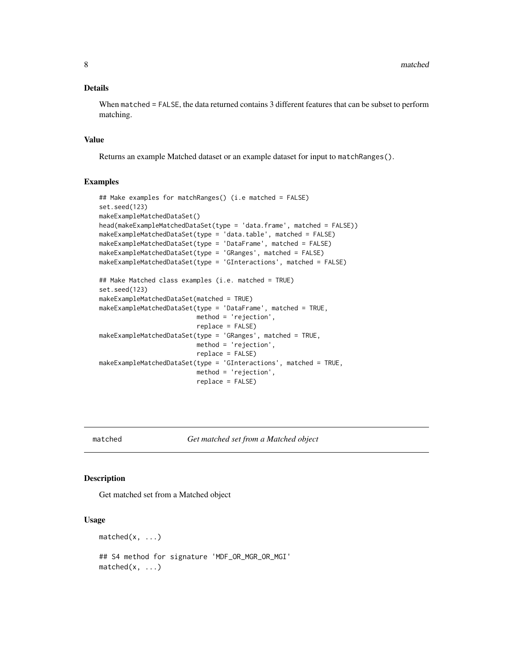# <span id="page-7-0"></span>Details

When matched = FALSE, the data returned contains 3 different features that can be subset to perform matching.

#### Value

Returns an example Matched dataset or an example dataset for input to matchRanges().

#### Examples

```
## Make examples for matchRanges() (i.e matched = FALSE)
set.seed(123)
makeExampleMatchedDataSet()
head(makeExampleMatchedDataSet(type = 'data.frame', matched = FALSE))
makeExampleMatchedDataSet(type = 'data.table', matched = FALSE)
makeExampleMatchedDataSet(type = 'DataFrame', matched = FALSE)
makeExampleMatchedDataSet(type = 'GRanges', matched = FALSE)
makeExampleMatchedDataSet(type = 'GInteractions', matched = FALSE)
## Make Matched class examples (i.e. matched = TRUE)
set.seed(123)
makeExampleMatchedDataSet(matched = TRUE)
makeExampleMatchedDataSet(type = 'DataFrame', matched = TRUE,
                          method = 'rejection',
                          replace = FALSE)
makeExampleMatchedDataSet(type = 'GRanges', matched = TRUE,
                          method = 'rejection',
                          replace = FALSE)
makeExampleMatchedDataSet(type = 'GInteractions', matched = TRUE,
                          method = 'rejection',
                          replace = FALSE)
```
<span id="page-7-1"></span>

matched *Get matched set from a Matched object*

#### Description

Get matched set from a Matched object

#### Usage

 $matched(x, \ldots)$ 

## S4 method for signature 'MDF\_OR\_MGR\_OR\_MGI'  $matched(x, \ldots)$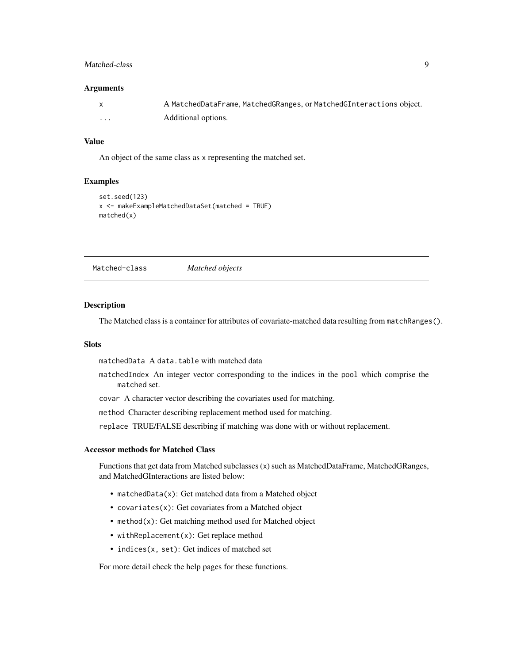#### <span id="page-8-0"></span>Matched-class 9

#### **Arguments**

| $\mathbf{x}$ | A MatchedDataFrame, MatchedGRanges, or MatchedGInteractions object. |
|--------------|---------------------------------------------------------------------|
| .            | Additional options.                                                 |

#### Value

An object of the same class as x representing the matched set.

#### Examples

```
set.seed(123)
x <- makeExampleMatchedDataSet(matched = TRUE)
matched(x)
```
Matched-class *Matched objects*

#### Description

The Matched class is a container for attributes of covariate-matched data resulting from matchRanges().

#### Slots

matchedData A data.table with matched data

- matchedIndex An integer vector corresponding to the indices in the pool which comprise the matched set.
- covar A character vector describing the covariates used for matching.

method Character describing replacement method used for matching.

replace TRUE/FALSE describing if matching was done with or without replacement.

#### Accessor methods for Matched Class

Functions that get data from Matched subclasses (x) such as MatchedDataFrame, MatchedGRanges, and MatchedGInteractions are listed below:

- matchedData(x): Get matched data from a Matched object
- covariates(x): Get covariates from a Matched object
- method(x): Get matching method used for Matched object
- withReplacement(x): Get replace method
- indices(x, set): Get indices of matched set

For more detail check the help pages for these functions.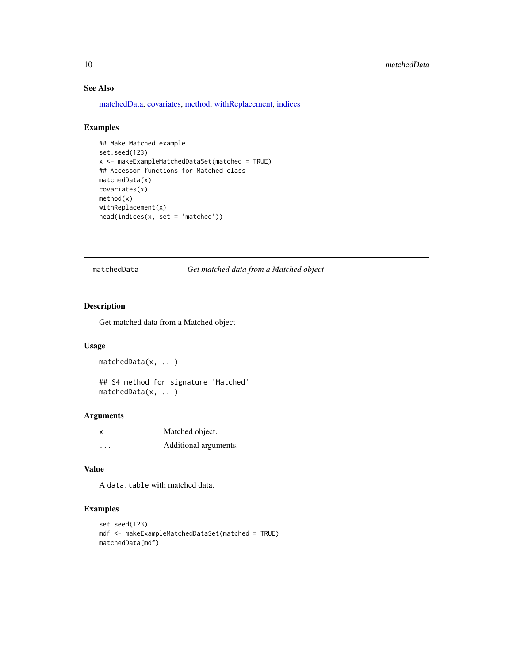# See Also

[matchedData,](#page-9-1) [covariates,](#page-4-1) [method,](#page-19-1) [withReplacement,](#page-28-1) [indices](#page-5-1)

#### Examples

```
## Make Matched example
set.seed(123)
x <- makeExampleMatchedDataSet(matched = TRUE)
## Accessor functions for Matched class
matchedData(x)
covariates(x)
method(x)
withReplacement(x)
head(indices(x, set = 'matched'))
```
<span id="page-9-1"></span>matchedData *Get matched data from a Matched object*

# Description

Get matched data from a Matched object

# Usage

```
matchedData(x, ...)
```
## S4 method for signature 'Matched' matchedData(x, ...)

#### Arguments

| X        | Matched object.       |
|----------|-----------------------|
| $\cdots$ | Additional arguments. |

# Value

A data.table with matched data.

```
set.seed(123)
mdf <- makeExampleMatchedDataSet(matched = TRUE)
matchedData(mdf)
```
<span id="page-9-0"></span>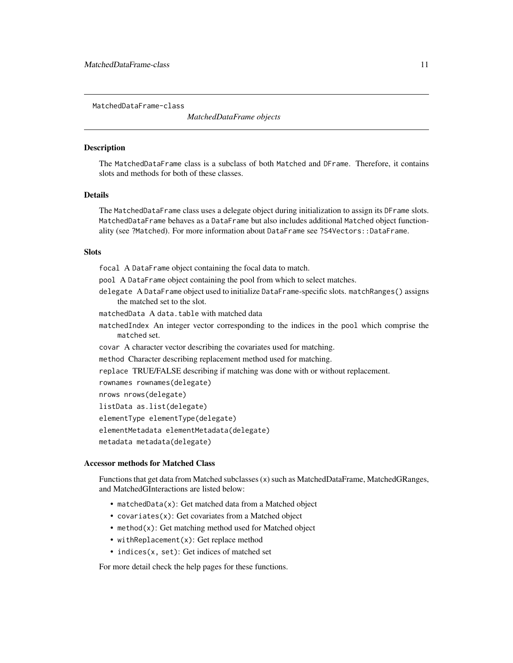<span id="page-10-0"></span>MatchedDataFrame-class

*MatchedDataFrame objects*

#### Description

The MatchedDataFrame class is a subclass of both Matched and DFrame. Therefore, it contains slots and methods for both of these classes.

#### Details

The MatchedDataFrame class uses a delegate object during initialization to assign its DFrame slots. MatchedDataFrame behaves as a DataFrame but also includes additional Matched object functionality (see ?Matched). For more information about DataFrame see ?S4Vectors::DataFrame.

#### **Slots**

focal A DataFrame object containing the focal data to match.

pool A DataFrame object containing the pool from which to select matches.

delegate A DataFrame object used to initialize DataFrame-specific slots. matchRanges() assigns the matched set to the slot.

matchedData A data.table with matched data

- matchedIndex An integer vector corresponding to the indices in the pool which comprise the matched set.
- covar A character vector describing the covariates used for matching.

method Character describing replacement method used for matching.

replace TRUE/FALSE describing if matching was done with or without replacement.

```
rownames rownames(delegate)
```
nrows nrows(delegate)

listData as.list(delegate)

elementType elementType(delegate)

elementMetadata elementMetadata(delegate)

metadata metadata(delegate)

#### Accessor methods for Matched Class

Functions that get data from Matched subclasses (x) such as MatchedDataFrame, MatchedGRanges, and MatchedGInteractions are listed below:

- matchedData(x): Get matched data from a Matched object
- covariates(x): Get covariates from a Matched object
- method(x): Get matching method used for Matched object
- withReplacement(x): Get replace method
- indices(x, set): Get indices of matched set

For more detail check the help pages for these functions.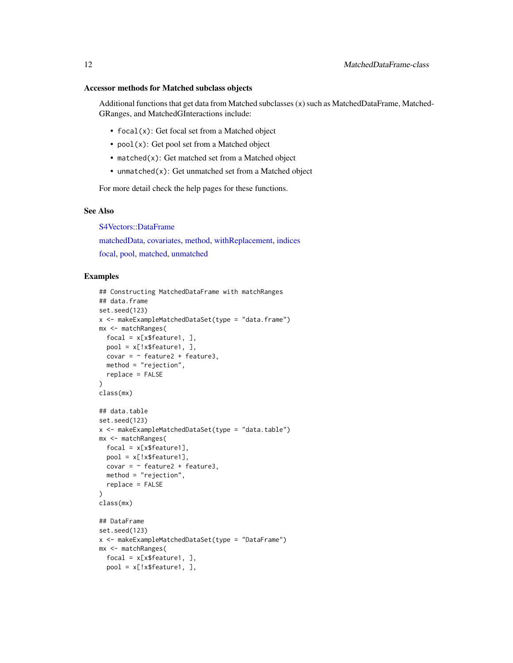#### <span id="page-11-0"></span>Accessor methods for Matched subclass objects

Additional functions that get data from Matched subclasses (x) such as MatchedDataFrame, Matched-GRanges, and MatchedGInteractions include:

- focal(x): Get focal set from a Matched object
- pool(x): Get pool set from a Matched object
- matched(x): Get matched set from a Matched object
- unmatched(x): Get unmatched set from a Matched object

For more detail check the help pages for these functions.

# See Also

[S4Vectors::DataFrame](#page-0-0) [matchedData,](#page-9-1) [covariates,](#page-4-1) [method,](#page-19-1) [withReplacement,](#page-28-1) [indices](#page-5-1) [focal,](#page-4-2) [pool,](#page-25-1) [matched,](#page-7-1) [unmatched](#page-27-1)

```
## Constructing MatchedDataFrame with matchRanges
## data.frame
set.seed(123)
x <- makeExampleMatchedDataSet(type = "data.frame")
mx <- matchRanges(
 focal = x[x$feature1, ],
  pool = x[:x$feature1, ]covar = \sim feature2 + feature3,
  method = "rejection",
  replace = FALSE
\lambdaclass(mx)
## data.table
set.seed(123)
x <- makeExampleMatchedDataSet(type = "data.table")
mx <- matchRanges(
 focal = x[x$feature1],pool = x[:x$feature1],covar = \sim feature2 + feature3,
  method = "rejection",
  replace = FALSE
)
class(mx)
## DataFrame
set.seed(123)
x <- makeExampleMatchedDataSet(type = "DataFrame")
mx <- matchRanges(
  focal = x[x$feature1, ],
  pool = x[!x$feature1, ],
```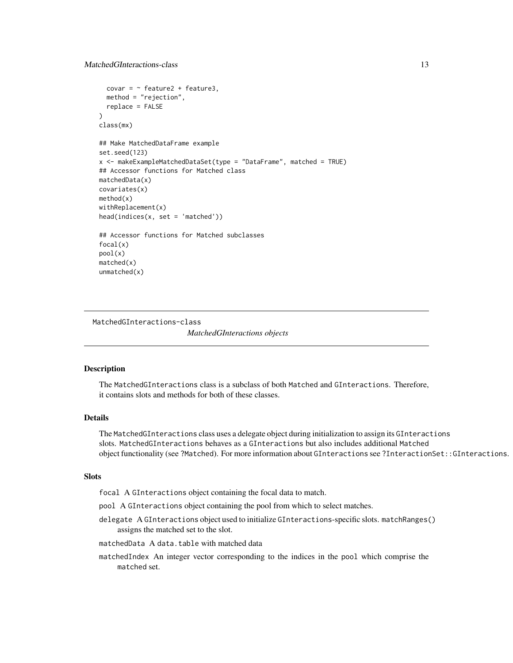```
covar = \sim feature2 + feature3,
 method = "rejection",
 replace = FALSE
)
class(mx)
## Make MatchedDataFrame example
set.seed(123)
x <- makeExampleMatchedDataSet(type = "DataFrame", matched = TRUE)
## Accessor functions for Matched class
matchedData(x)
covariates(x)
method(x)
withReplacement(x)
head(indices(x, set = 'matched'))
## Accessor functions for Matched subclasses
focal(x)
pool(x)
matched(x)
unmatched(x)
```
MatchedGInteractions-class *MatchedGInteractions objects*

#### Description

The MatchedGInteractions class is a subclass of both Matched and GInteractions. Therefore, it contains slots and methods for both of these classes.

#### Details

The MatchedGInteractions class uses a delegate object during initialization to assign its GInteractions slots. MatchedGInteractions behaves as a GInteractions but also includes additional Matched object functionality (see ?Matched). For more information about GInteractions see ?InteractionSet::GInteractions.

#### **Slots**

focal A GInteractions object containing the focal data to match.

- pool A GInteractions object containing the pool from which to select matches.
- delegate A GInteractions object used to initialize GInteractions-specific slots. matchRanges() assigns the matched set to the slot.
- matchedData A data.table with matched data
- matchedIndex An integer vector corresponding to the indices in the pool which comprise the matched set.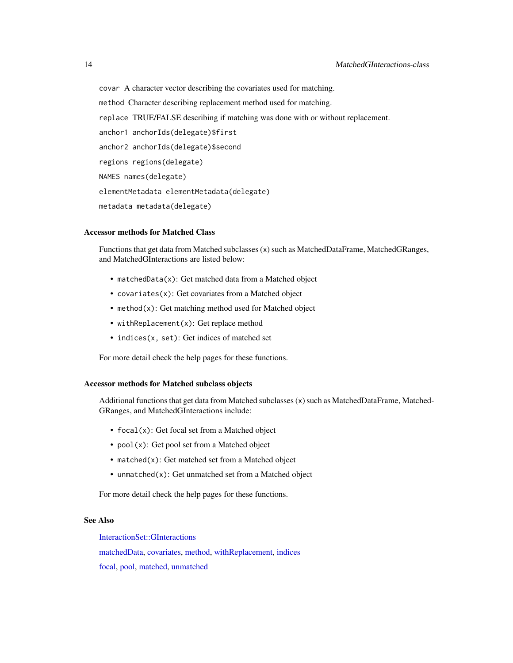<span id="page-13-0"></span>covar A character vector describing the covariates used for matching. method Character describing replacement method used for matching.

replace TRUE/FALSE describing if matching was done with or without replacement.

anchor1 anchorIds(delegate)\$first

anchor2 anchorIds(delegate)\$second

regions regions(delegate)

NAMES names(delegate)

elementMetadata elementMetadata(delegate)

metadata metadata(delegate)

#### Accessor methods for Matched Class

Functions that get data from Matched subclasses (x) such as MatchedDataFrame, MatchedGRanges, and MatchedGInteractions are listed below:

- matchedData(x): Get matched data from a Matched object
- covariates(x): Get covariates from a Matched object
- method(x): Get matching method used for Matched object
- withReplacement(x): Get replace method
- indices(x, set): Get indices of matched set

For more detail check the help pages for these functions.

#### Accessor methods for Matched subclass objects

Additional functions that get data from Matched subclasses (x) such as MatchedDataFrame, Matched-GRanges, and MatchedGInteractions include:

- focal(x): Get focal set from a Matched object
- pool(x): Get pool set from a Matched object
- matched(x): Get matched set from a Matched object
- unmatched(x): Get unmatched set from a Matched object

For more detail check the help pages for these functions.

# See Also

[InteractionSet::GInteractions](#page-0-0)

[matchedData,](#page-9-1) [covariates,](#page-4-1) [method,](#page-19-1) [withReplacement,](#page-28-1) [indices](#page-5-1) [focal,](#page-4-2) [pool,](#page-25-1) [matched,](#page-7-1) [unmatched](#page-27-1)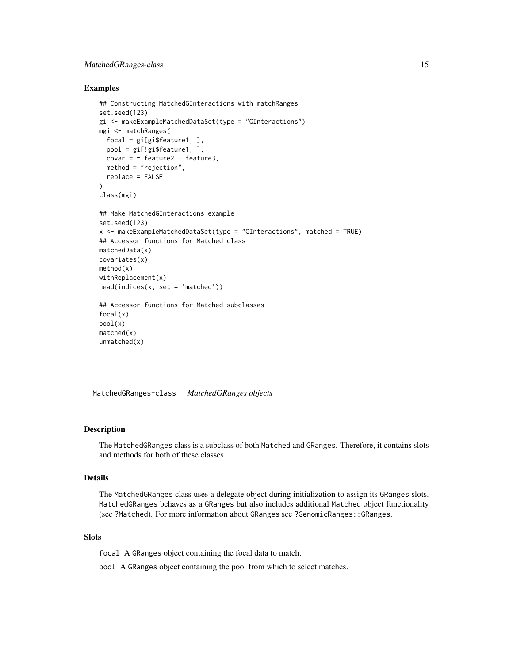# <span id="page-14-0"></span>MatchedGRanges-class 15

#### Examples

```
## Constructing MatchedGInteractions with matchRanges
set.seed(123)
gi <- makeExampleMatchedDataSet(type = "GInteractions")
mgi <- matchRanges(
  focal = gi[gi$feature1, ],
  pool = gi[!gi$feature1, ],
  covar = \sim feature2 + feature3,
  method = "rejection",
  replace = FALSE
)
class(mgi)
## Make MatchedGInteractions example
set.seed(123)
x <- makeExampleMatchedDataSet(type = "GInteractions", matched = TRUE)
## Accessor functions for Matched class
matchedData(x)
covariates(x)
method(x)withReplacement(x)
head(indices(x, set = 'matched'))## Accessor functions for Matched subclasses
focal(x)
pool(x)
matched(x)
unmatched(x)
```
MatchedGRanges-class *MatchedGRanges objects*

# Description

The MatchedGRanges class is a subclass of both Matched and GRanges. Therefore, it contains slots and methods for both of these classes.

#### Details

The MatchedGRanges class uses a delegate object during initialization to assign its GRanges slots. MatchedGRanges behaves as a GRanges but also includes additional Matched object functionality (see ?Matched). For more information about GRanges see ?GenomicRanges::GRanges.

#### **Slots**

focal A GRanges object containing the focal data to match.

pool A GRanges object containing the pool from which to select matches.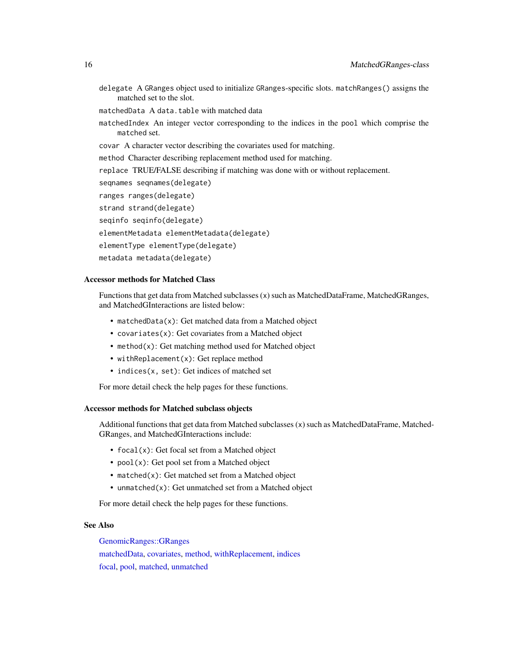<span id="page-15-0"></span>delegate A GRanges object used to initialize GRanges-specific slots. matchRanges() assigns the matched set to the slot.

matchedData A data.table with matched data

matchedIndex An integer vector corresponding to the indices in the pool which comprise the matched set.

covar A character vector describing the covariates used for matching.

method Character describing replacement method used for matching.

replace TRUE/FALSE describing if matching was done with or without replacement.

```
seqnames seqnames(delegate)
```
- ranges ranges(delegate)
- strand strand(delegate)

seqinfo seqinfo(delegate)

elementMetadata elementMetadata(delegate)

elementType elementType(delegate)

metadata metadata(delegate)

#### Accessor methods for Matched Class

Functions that get data from Matched subclasses (x) such as MatchedDataFrame, MatchedGRanges, and MatchedGInteractions are listed below:

- matchedData(x): Get matched data from a Matched object
- covariates(x): Get covariates from a Matched object
- method(x): Get matching method used for Matched object
- withReplacement(x): Get replace method
- indices(x, set): Get indices of matched set

For more detail check the help pages for these functions.

#### Accessor methods for Matched subclass objects

Additional functions that get data from Matched subclasses (x) such as MatchedDataFrame, Matched-GRanges, and MatchedGInteractions include:

- focal(x): Get focal set from a Matched object
- pool(x): Get pool set from a Matched object
- matched(x): Get matched set from a Matched object
- unmatched(x): Get unmatched set from a Matched object

For more detail check the help pages for these functions.

#### See Also

[GenomicRanges::GRanges](#page-0-0)

[matchedData,](#page-9-1) [covariates,](#page-4-1) [method,](#page-19-1) [withReplacement,](#page-28-1) [indices](#page-5-1) [focal,](#page-4-2) [pool,](#page-25-1) [matched,](#page-7-1) [unmatched](#page-27-1)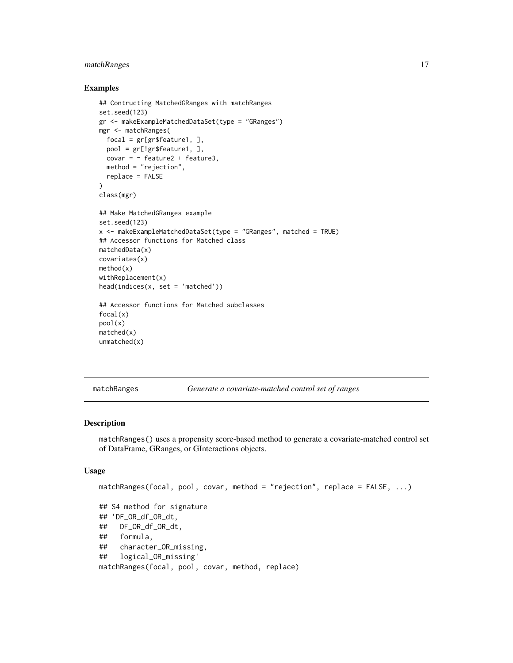# <span id="page-16-0"></span>matchRanges 17

#### Examples

```
## Contructing MatchedGRanges with matchRanges
set.seed(123)
gr <- makeExampleMatchedDataSet(type = "GRanges")
mgr <- matchRanges(
  focal = gr[gr$feature1, ],
  pool = gr[!gr$feature1, ],
  covar = \sim feature2 + feature3,
  method = "rejection",
  replace = FALSE
)
class(mgr)
## Make MatchedGRanges example
set.seed(123)
x <- makeExampleMatchedDataSet(type = "GRanges", matched = TRUE)
## Accessor functions for Matched class
matchedData(x)
covariates(x)
method(x)
withReplacement(x)
head(indices(x, set = 'matched'))
## Accessor functions for Matched subclasses
focal(x)
pool(x)
matched(x)
unmatched(x)
```
matchRanges *Generate a covariate-matched control set of ranges*

#### Description

matchRanges() uses a propensity score-based method to generate a covariate-matched control set of DataFrame, GRanges, or GInteractions objects.

#### Usage

```
matchRanges(focal, pool, covar, method = "rejection", replace = FALSE, ...)
## S4 method for signature
## 'DF_OR_df_OR_dt,
## DF_OR_df_OR_dt,
## formula,
## character_OR_missing,
## logical_OR_missing'
matchRanges(focal, pool, covar, method, replace)
```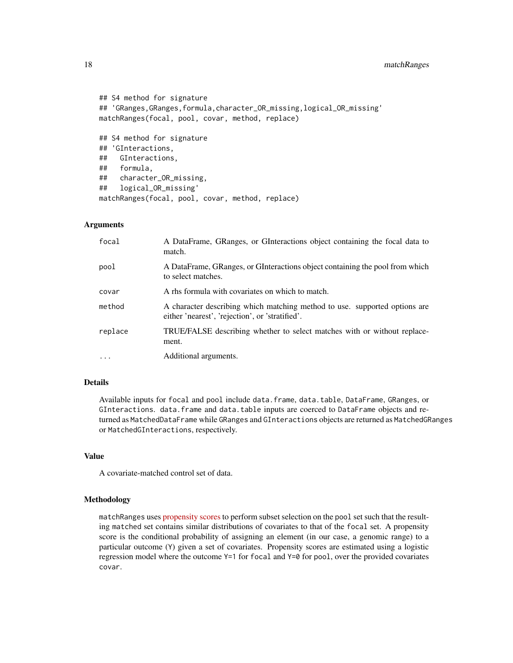#### 18 matchRanges match

```
## S4 method for signature
## 'GRanges,GRanges,formula,character_OR_missing,logical_OR_missing'
matchRanges(focal, pool, covar, method, replace)
## S4 method for signature
## 'GInteractions,
## GInteractions,
## formula,
## character_OR_missing,
## logical_OR_missing'
matchRanges(focal, pool, covar, method, replace)
```
#### Arguments

| focal   | A DataFrame, GRanges, or GInteractions object containing the focal data to<br>match.                                          |
|---------|-------------------------------------------------------------------------------------------------------------------------------|
| pool    | A DataFrame, GRanges, or GInteractions object containing the pool from which<br>to select matches.                            |
| covar   | A rhs formula with covariates on which to match.                                                                              |
| method  | A character describing which matching method to use. supported options are<br>either 'nearest', 'rejection', or 'stratified'. |
| replace | TRUE/FALSE describing whether to select matches with or without replace-<br>ment.                                             |
| $\cdot$ | Additional arguments.                                                                                                         |

# Details

Available inputs for focal and pool include data.frame, data.table, DataFrame, GRanges, or GInteractions. data.frame and data.table inputs are coerced to DataFrame objects and returned as MatchedDataFrame while GRanges and GInteractions objects are returned as MatchedGRanges or MatchedGInteractions, respectively.

# Value

A covariate-matched control set of data.

#### Methodology

matchRanges uses [propensity scores](https://en.wikipedia.org/wiki/Propensity_score_matching) to perform subset selection on the pool set such that the resulting matched set contains similar distributions of covariates to that of the focal set. A propensity score is the conditional probability of assigning an element (in our case, a genomic range) to a particular outcome (Y) given a set of covariates. Propensity scores are estimated using a logistic regression model where the outcome Y=1 for focal and Y=0 for pool, over the provided covariates covar.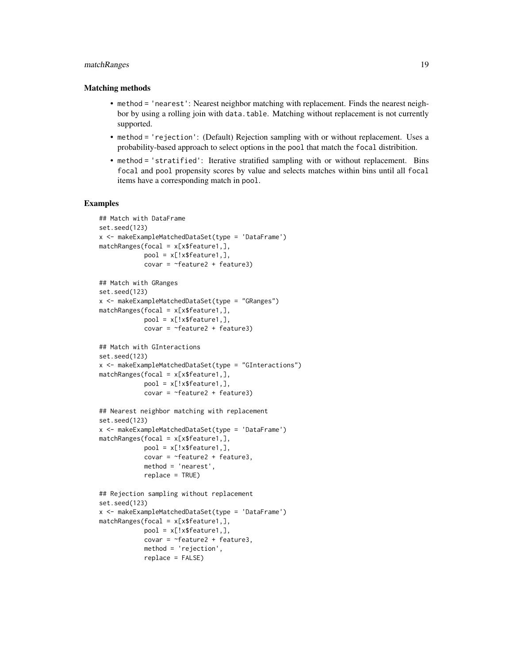# matchRanges 19

#### Matching methods

- method = 'nearest': Nearest neighbor matching with replacement. Finds the nearest neighbor by using a rolling join with data.table. Matching without replacement is not currently supported.
- method = 'rejection': (Default) Rejection sampling with or without replacement. Uses a probability-based approach to select options in the pool that match the focal distribition.
- method = 'stratified': Iterative stratified sampling with or without replacement. Bins focal and pool propensity scores by value and selects matches within bins until all focal items have a corresponding match in pool.

```
## Match with DataFrame
set.seed(123)
x <- makeExampleMatchedDataSet(type = 'DataFrame')
matchRanges(focal = x[x$feature1,],pool = x[:x$feature1,],covar = -feature2 + feature3)## Match with GRanges
set.seed(123)
x <- makeExampleMatchedDataSet(type = "GRanges")
matchRanges(focal = x[x$feature1,],
            pool = x[:x$feature1,],covar = -feature2 + feature3)## Match with GInteractions
set.seed(123)
x <- makeExampleMatchedDataSet(type = "GInteractions")
matchRanges(focal = x[x$feature1,],
            pool = x[:x$feature1,].covar = -feature2 + feature3)## Nearest neighbor matching with replacement
set.seed(123)
x <- makeExampleMatchedDataSet(type = 'DataFrame')
matchRanges(focal = x[x$feature1,],pool = x[:x$feature1,],covar = \simfeature2 + feature3,
            method = 'nearest',
            replace = TRUE)
## Rejection sampling without replacement
set.seed(123)
x <- makeExampleMatchedDataSet(type = 'DataFrame')
matchRanges(focal = x[x$feature1,],
            pool = x[!x$feature1,],
            covar = \simfeature2 + feature3,
            method = 'rejection',
            replace = FALSE)
```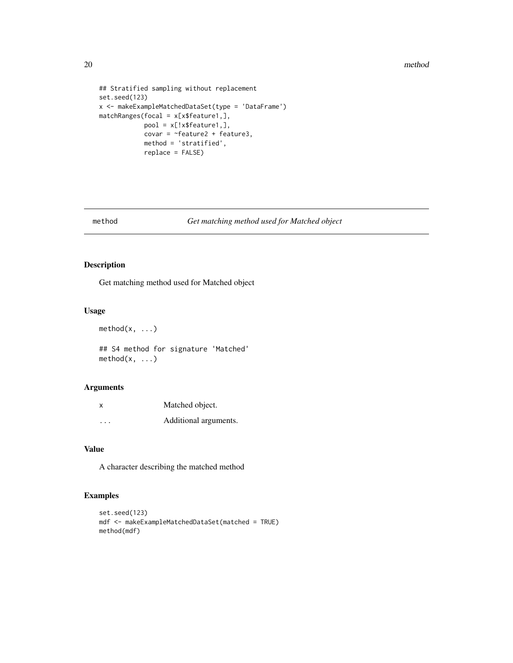<span id="page-19-0"></span>20 method and the second state of the second state  $m$  method and  $m$ 

```
## Stratified sampling without replacement
set.seed(123)
x <- makeExampleMatchedDataSet(type = 'DataFrame')
matchRanges(focal = x[x$feature1,],
           pool = x[!x$feature1,],
            covar = \simfeature2 + feature3,
            method = 'stratified',
            replace = FALSE)
```
<span id="page-19-1"></span>method *Get matching method used for Matched object*

# Description

Get matching method used for Matched object

#### Usage

 $method(x, \ldots)$ ## S4 method for signature 'Matched' method(x, ...)

# Arguments

| x       | Matched object.       |
|---------|-----------------------|
| $\cdot$ | Additional arguments. |

# Value

A character describing the matched method

```
set.seed(123)
mdf <- makeExampleMatchedDataSet(matched = TRUE)
method(mdf)
```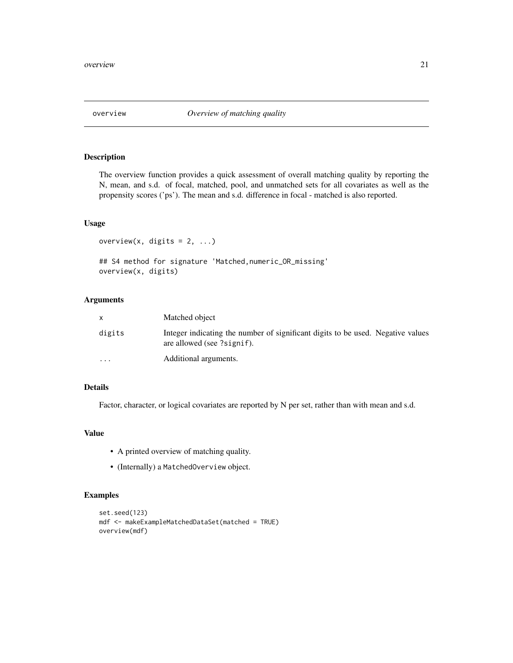<span id="page-20-0"></span>

# Description

The overview function provides a quick assessment of overall matching quality by reporting the N, mean, and s.d. of focal, matched, pool, and unmatched sets for all covariates as well as the propensity scores ('ps'). The mean and s.d. difference in focal - matched is also reported.

#### Usage

```
overview(x, digits = 2, ...)
```
## S4 method for signature 'Matched,numeric\_OR\_missing' overview(x, digits)

# Arguments

|          | Matched object                                                                                                |
|----------|---------------------------------------------------------------------------------------------------------------|
| digits   | Integer indicating the number of significant digits to be used. Negative values<br>are allowed (see ?signif). |
| $\cdots$ | Additional arguments.                                                                                         |

# Details

Factor, character, or logical covariates are reported by N per set, rather than with mean and s.d.

# Value

- A printed overview of matching quality.
- (Internally) a MatchedOverview object.

```
set.seed(123)
mdf <- makeExampleMatchedDataSet(matched = TRUE)
overview(mdf)
```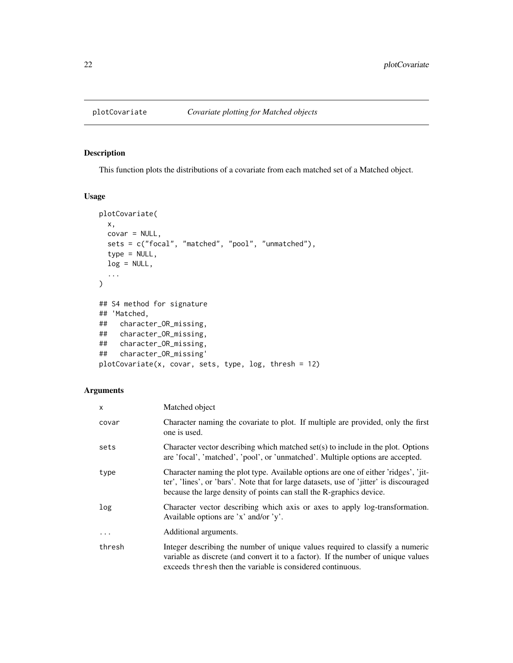#### <span id="page-21-1"></span><span id="page-21-0"></span>Description

This function plots the distributions of a covariate from each matched set of a Matched object.

#### Usage

```
plotCovariate(
  x,
 covar = NULL,
 sets = c("focal", "matched", "pool", "unmatched"),
  type = NULL,
 log = NULL,...
)
## S4 method for signature
## 'Matched,
## character_OR_missing,
## character_OR_missing,
## character_OR_missing,
## character_OR_missing'
plotCovariate(x, covar, sets, type, log, thresh = 12)
```
# Arguments

| $\mathsf{x}$ | Matched object                                                                                                                                                                                                                                        |
|--------------|-------------------------------------------------------------------------------------------------------------------------------------------------------------------------------------------------------------------------------------------------------|
| covar        | Character naming the covariate to plot. If multiple are provided, only the first<br>one is used.                                                                                                                                                      |
| sets         | Character vector describing which matched set(s) to include in the plot. Options<br>are 'focal', 'matched', 'pool', or 'unmatched'. Multiple options are accepted.                                                                                    |
| type         | Character naming the plot type. Available options are one of either 'ridges', 'jit-<br>ter', 'lines', or 'bars'. Note that for large datasets, use of 'jitter' is discouraged<br>because the large density of points can stall the R-graphics device. |
| log          | Character vector describing which axis or axes to apply log-transformation.<br>Available options are 'x' and/or 'y'.                                                                                                                                  |
| $\cdots$     | Additional arguments.                                                                                                                                                                                                                                 |
| thresh       | Integer describing the number of unique values required to classify a numeric<br>variable as discrete (and convert it to a factor). If the number of unique values<br>exceeds thresh then the variable is considered continuous.                      |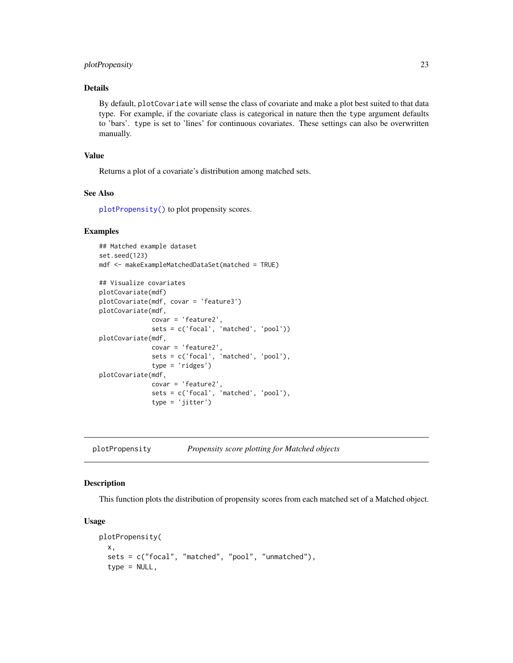# <span id="page-22-0"></span>plotPropensity 23

# Details

By default, plotCovariate will sense the class of covariate and make a plot best suited to that data type. For example, if the covariate class is categorical in nature then the type argument defaults to 'bars'. type is set to 'lines' for continuous covariates. These settings can also be overwritten manually.

#### Value

Returns a plot of a covariate's distribution among matched sets.

# See Also

[plotPropensity\(\)](#page-22-1) to plot propensity scores.

#### Examples

```
## Matched example dataset
set.seed(123)
mdf <- makeExampleMatchedDataSet(matched = TRUE)
## Visualize covariates
plotCovariate(mdf)
plotCovariate(mdf, covar = 'feature3')
plotCovariate(mdf,
              covar = 'feature2',
              sets = c('focal', 'matched', 'pool'))
plotCovariate(mdf,
              covar = 'feature2',
              sets = c('focal', 'matched', 'pool'),
              type = 'ridges')
plotCovariate(mdf,
              covar = 'feature2',
              sets = c('focal', 'matched', 'pool'),
```
type = 'jitter')

<span id="page-22-1"></span>plotPropensity *Propensity score plotting for Matched objects*

# Description

This function plots the distribution of propensity scores from each matched set of a Matched object.

#### Usage

```
plotPropensity(
  x,
  sets = c("focal", "matched", "pool", "unmatched"),
  type = NULL,
```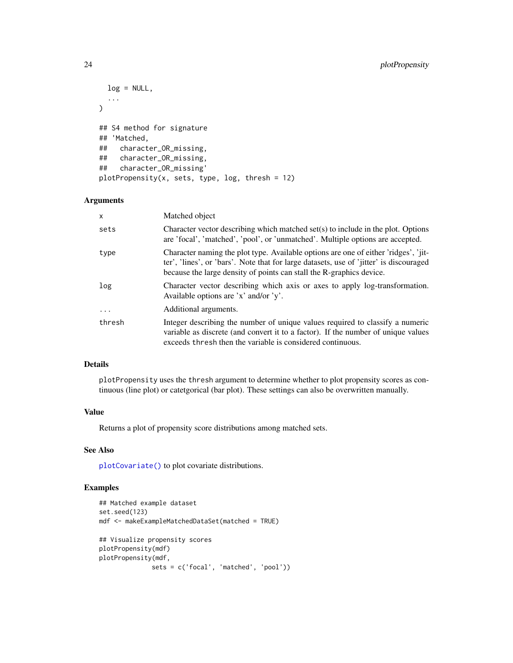```
log = NULL,...
\lambda## S4 method for signature
## 'Matched,
## character_OR_missing,
## character_OR_missing,
## character_OR_missing'
plotPropensity(x, sets, type, log, thresh = 12)
```
# Arguments

| X        | Matched object                                                                                                                                                                                                                                        |
|----------|-------------------------------------------------------------------------------------------------------------------------------------------------------------------------------------------------------------------------------------------------------|
| sets     | Character vector describing which matched set(s) to include in the plot. Options<br>are 'focal', 'matched', 'pool', or 'unmatched'. Multiple options are accepted.                                                                                    |
| type     | Character naming the plot type. Available options are one of either 'ridges', 'jit-<br>ter', 'lines', or 'bars'. Note that for large datasets, use of 'jitter' is discouraged<br>because the large density of points can stall the R-graphics device. |
| log      | Character vector describing which axis or axes to apply log-transformation.<br>Available options are 'x' and/or 'y'.                                                                                                                                  |
| $\cdots$ | Additional arguments.                                                                                                                                                                                                                                 |
| thresh   | Integer describing the number of unique values required to classify a numeric<br>variable as discrete (and convert it to a factor). If the number of unique values<br>exceeds thresh then the variable is considered continuous.                      |

# Details

plotPropensity uses the thresh argument to determine whether to plot propensity scores as continuous (line plot) or catetgorical (bar plot). These settings can also be overwritten manually.

# Value

Returns a plot of propensity score distributions among matched sets.

# See Also

[plotCovariate\(\)](#page-21-1) to plot covariate distributions.

```
## Matched example dataset
set.seed(123)
mdf <- makeExampleMatchedDataSet(matched = TRUE)
## Visualize propensity scores
plotPropensity(mdf)
plotPropensity(mdf,
              sets = c('focal', 'matched', 'pool'))
```
<span id="page-23-0"></span>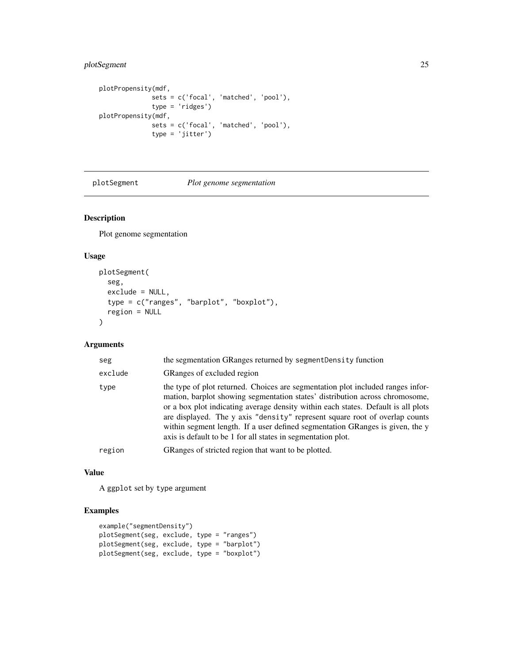# <span id="page-24-0"></span>plotSegment 25

```
plotPropensity(mdf,
             sets = c('focal', 'matched', 'pool'),
             type = 'ridges')
plotPropensity(mdf,
             sets = c('focal', 'matched', 'pool'),
             type = 'jitter')
```
plotSegment *Plot genome segmentation*

# Description

Plot genome segmentation

# Usage

```
plotSegment(
  seg,
  exclude = NULL,
  type = c("ranges", "barplot", "boxplot"),
  region = NULL
\mathcal{L}
```
# Arguments

| seg     | the segmentation GRanges returned by segmentDensity function                                                                                                                                                                                                                                                                                                                                                                                                                         |  |
|---------|--------------------------------------------------------------------------------------------------------------------------------------------------------------------------------------------------------------------------------------------------------------------------------------------------------------------------------------------------------------------------------------------------------------------------------------------------------------------------------------|--|
| exclude | GRanges of excluded region                                                                                                                                                                                                                                                                                                                                                                                                                                                           |  |
| type    | the type of plot returned. Choices are segmentation plot included ranges infor-<br>mation, barplot showing segmentation states' distribution across chromosome,<br>or a box plot indicating average density within each states. Default is all plots<br>are displayed. The y axis "density" represent square root of overlap counts<br>within segment length. If a user defined segmentation GRanges is given, the y<br>axis is default to be 1 for all states in segmentation plot. |  |
| region  | GRanges of stricted region that want to be plotted.                                                                                                                                                                                                                                                                                                                                                                                                                                  |  |

#### Value

A ggplot set by type argument

```
example("segmentDensity")
plotSegment(seg, exclude, type = "ranges")
plotSegment(seg, exclude, type = "barplot")
plotSegment(seg, exclude, type = "boxplot")
```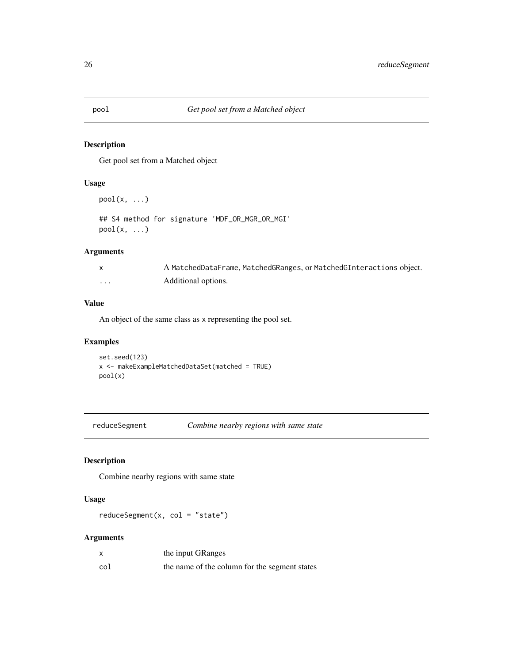# <span id="page-25-1"></span><span id="page-25-0"></span>Description

Get pool set from a Matched object

# Usage

```
pool(x, \ldots)
```
## S4 method for signature 'MDF\_OR\_MGR\_OR\_MGI'  $pool(x, \ldots)$ 

#### Arguments

|   | A MatchedDataFrame, MatchedGRanges, or MatchedGInteractions object. |
|---|---------------------------------------------------------------------|
| . | Additional options.                                                 |

# Value

An object of the same class as x representing the pool set.

# Examples

```
set.seed(123)
x <- makeExampleMatchedDataSet(matched = TRUE)
pool(x)
```
reduceSegment *Combine nearby regions with same state*

# Description

Combine nearby regions with same state

# Usage

reduceSegment(x, col = "state")

# Arguments

|     | the input GRanges                             |
|-----|-----------------------------------------------|
| col | the name of the column for the segment states |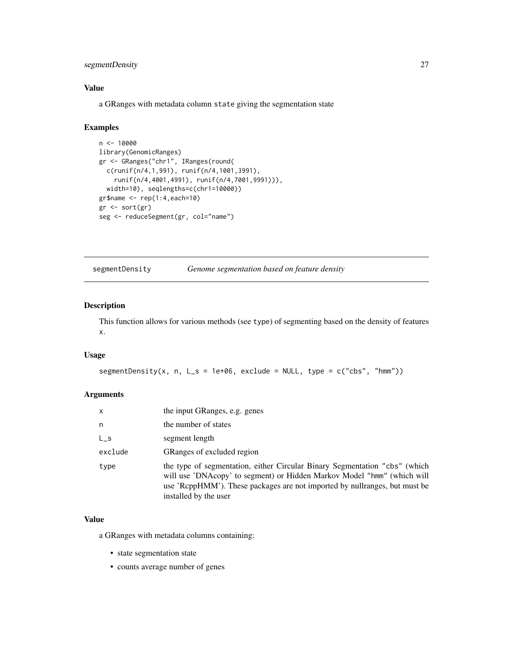# <span id="page-26-0"></span>segmentDensity 27

# Value

a GRanges with metadata column state giving the segmentation state

#### Examples

```
n <- 10000
library(GenomicRanges)
gr <- GRanges("chr1", IRanges(round(
 c(runif(n/4,1,991), runif(n/4,1001,3991),
    runif(n/4,4001,4991), runif(n/4,7001,9991))),
  width=10), seqlengths=c(chr1=10000))
gr$name <- rep(1:4,each=10)
gr <- sort(gr)
seg <- reduceSegment(gr, col="name")
```
segmentDensity *Genome segmentation based on feature density*

### Description

This function allows for various methods (see type) of segmenting based on the density of features x.

#### Usage

```
segmentDensity(x, n, L_s = 1e+06, exclude = NULL, type = c("cbs", "hmm"))
```
# Arguments

| X       | the input GRanges, e.g. genes                                                                                                                                                                                                                                |
|---------|--------------------------------------------------------------------------------------------------------------------------------------------------------------------------------------------------------------------------------------------------------------|
| n       | the number of states                                                                                                                                                                                                                                         |
| $L_S$   | segment length                                                                                                                                                                                                                                               |
| exclude | GRanges of excluded region                                                                                                                                                                                                                                   |
| type    | the type of segmentation, either Circular Binary Segmentation "cbs" (which<br>will use 'DNAcopy' to segment) or Hidden Markov Model "hmm" (which will<br>use 'RcppHMM'). These packages are not imported by nullranges, but must be<br>installed by the user |

#### Value

a GRanges with metadata columns containing:

- state segmentation state
- counts average number of genes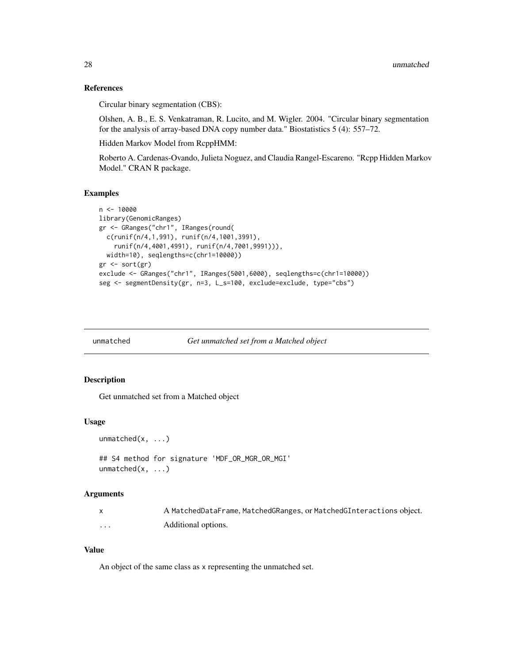#### References

Circular binary segmentation (CBS):

Olshen, A. B., E. S. Venkatraman, R. Lucito, and M. Wigler. 2004. "Circular binary segmentation for the analysis of array-based DNA copy number data." Biostatistics 5 (4): 557–72.

Hidden Markov Model from RcppHMM:

Roberto A. Cardenas-Ovando, Julieta Noguez, and Claudia Rangel-Escareno. "Rcpp Hidden Markov Model." CRAN R package.

# Examples

```
n < -10000library(GenomicRanges)
gr <- GRanges("chr1", IRanges(round(
  c(runif(n/4,1,991), runif(n/4,1001,3991),
    runif(n/4,4001,4991), runif(n/4,7001,9991))),
  width=10), seqlengths=c(chr1=10000))
gr <- sort(gr)
exclude <- GRanges("chr1", IRanges(5001,6000), seqlengths=c(chr1=10000))
seg <- segmentDensity(gr, n=3, L_s=100, exclude=exclude, type="cbs")
```
<span id="page-27-1"></span>

```
unmatched Get unmatched set from a Matched object
```
#### Description

Get unmatched set from a Matched object

#### Usage

```
unmatched(x, \ldots)
```
## S4 method for signature 'MDF\_OR\_MGR\_OR\_MGI' unmatched(x, ...)

#### Arguments

|          | A MatchedDataFrame, MatchedGRanges, or MatchedGInteractions object. |
|----------|---------------------------------------------------------------------|
| $\cdots$ | Additional options.                                                 |

#### Value

An object of the same class as x representing the unmatched set.

<span id="page-27-0"></span>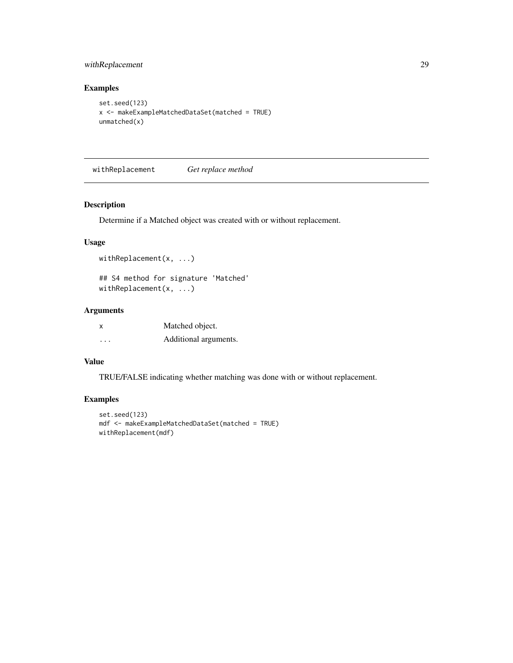# <span id="page-28-0"></span>withReplacement 29

# Examples

```
set.seed(123)
x <- makeExampleMatchedDataSet(matched = TRUE)
unmatched(x)
```
<span id="page-28-1"></span>withReplacement *Get replace method*

# Description

Determine if a Matched object was created with or without replacement.

#### Usage

```
withReplacement(x, ...)
```
## S4 method for signature 'Matched' withReplacement(x, ...)

# Arguments

| x       | Matched object.       |
|---------|-----------------------|
| $\cdot$ | Additional arguments. |

# Value

TRUE/FALSE indicating whether matching was done with or without replacement.

```
set.seed(123)
mdf <- makeExampleMatchedDataSet(matched = TRUE)
withReplacement(mdf)
```